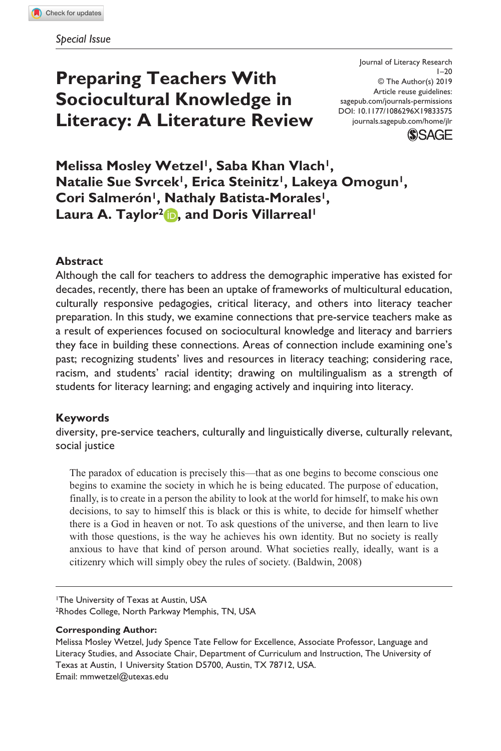# **Preparing Teachers With Sociocultural Knowledge in Literacy: A Literature Review**

DOI: 10.1177/1086296X19833575 Journal of Literacy Research  $1 - 20$ © The Author(s) 2019 Article reuse guidelines: [sagepub.com/journals-permissions](https://us.sagepub.com/en-us/journals-permissions) [journals.sagepub.com/home/jlr](https://journals.sagepub.com/home/jlr
)



Melissa Mosley Wetzel<sup>1</sup>, Saba Khan Vlach<sup>1</sup>, Natalie Sue Svrcek<sup>1</sup>, Erica Steinitz<sup>1</sup>, Lakeya Omogun<sup>1</sup>, Cori Salmerón<sup>1</sup>, Nathaly Batista-Morales<sup>1</sup>, Laura A. Taylor<sup>2</sup> **i**, and Doris Villarreal<sup>1</sup>

#### **Abstract**

Although the call for teachers to address the demographic imperative has existed for decades, recently, there has been an uptake of frameworks of multicultural education, culturally responsive pedagogies, critical literacy, and others into literacy teacher preparation. In this study, we examine connections that pre-service teachers make as a result of experiences focused on sociocultural knowledge and literacy and barriers they face in building these connections. Areas of connection include examining one's past; recognizing students' lives and resources in literacy teaching; considering race, racism, and students' racial identity; drawing on multilingualism as a strength of students for literacy learning; and engaging actively and inquiring into literacy.

#### **Keywords**

diversity, pre-service teachers, culturally and linguistically diverse, culturally relevant, social justice

The paradox of education is precisely this—that as one begins to become conscious one begins to examine the society in which he is being educated. The purpose of education, finally, is to create in a person the ability to look at the world for himself, to make his own decisions, to say to himself this is black or this is white, to decide for himself whether there is a God in heaven or not. To ask questions of the universe, and then learn to live with those questions, is the way he achieves his own identity. But no society is really anxious to have that kind of person around. What societies really, ideally, want is a citizenry which will simply obey the rules of society. (Baldwin, 2008)

1The University of Texas at Austin, USA 2Rhodes College, North Parkway Memphis, TN, USA

#### **Corresponding Author:**

Melissa Mosley Wetzel, Judy Spence Tate Fellow for Excellence, Associate Professor, Language and Literacy Studies, and Associate Chair, Department of Curriculum and Instruction, The University of Texas at Austin, 1 University Station D5700, Austin, TX 78712, USA. Email: [mmwetzel@utexas.edu](mailto:mmwetzel@utexas.edu)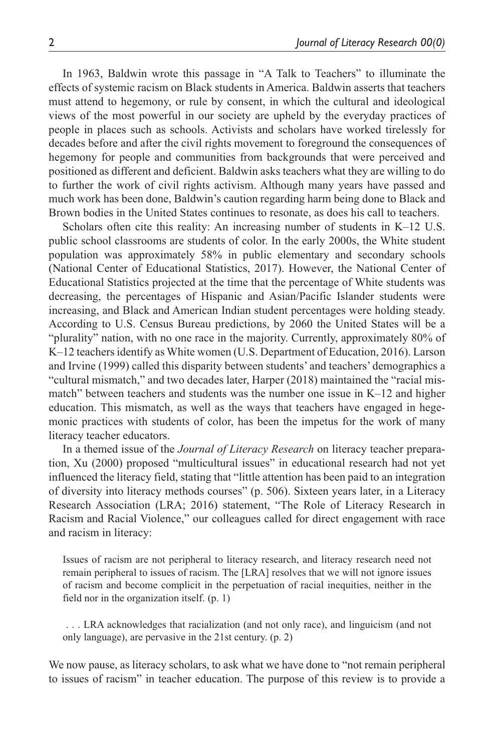In 1963, Baldwin wrote this passage in "A Talk to Teachers" to illuminate the effects of systemic racism on Black students in America. Baldwin asserts that teachers must attend to hegemony, or rule by consent, in which the cultural and ideological views of the most powerful in our society are upheld by the everyday practices of people in places such as schools. Activists and scholars have worked tirelessly for decades before and after the civil rights movement to foreground the consequences of hegemony for people and communities from backgrounds that were perceived and positioned as different and deficient. Baldwin asks teachers what they are willing to do to further the work of civil rights activism. Although many years have passed and much work has been done, Baldwin's caution regarding harm being done to Black and Brown bodies in the United States continues to resonate, as does his call to teachers.

Scholars often cite this reality: An increasing number of students in K–12 U.S. public school classrooms are students of color. In the early 2000s, the White student population was approximately 58% in public elementary and secondary schools (National Center of Educational Statistics, 2017). However, the National Center of Educational Statistics projected at the time that the percentage of White students was decreasing, the percentages of Hispanic and Asian/Pacific Islander students were increasing, and Black and American Indian student percentages were holding steady. According to U.S. Census Bureau predictions, by 2060 the United States will be a "plurality" nation, with no one race in the majority. Currently, approximately 80% of K–12 teachers identify as White women (U.S. Department of Education, 2016). Larson and Irvine (1999) called this disparity between students' and teachers' demographics a "cultural mismatch," and two decades later, Harper (2018) maintained the "racial mismatch" between teachers and students was the number one issue in K–12 and higher education. This mismatch, as well as the ways that teachers have engaged in hegemonic practices with students of color, has been the impetus for the work of many literacy teacher educators.

In a themed issue of the *Journal of Literacy Research* on literacy teacher preparation, Xu (2000) proposed "multicultural issues" in educational research had not yet influenced the literacy field, stating that "little attention has been paid to an integration of diversity into literacy methods courses" (p. 506). Sixteen years later, in a Literacy Research Association (LRA; 2016) statement, "The Role of Literacy Research in Racism and Racial Violence," our colleagues called for direct engagement with race and racism in literacy:

Issues of racism are not peripheral to literacy research, and literacy research need not remain peripheral to issues of racism. The [LRA] resolves that we will not ignore issues of racism and become complicit in the perpetuation of racial inequities, neither in the field nor in the organization itself. (p. 1)

 . . . LRA acknowledges that racialization (and not only race), and linguicism (and not only language), are pervasive in the 21st century. (p. 2)

We now pause, as literacy scholars, to ask what we have done to "not remain peripheral to issues of racism" in teacher education. The purpose of this review is to provide a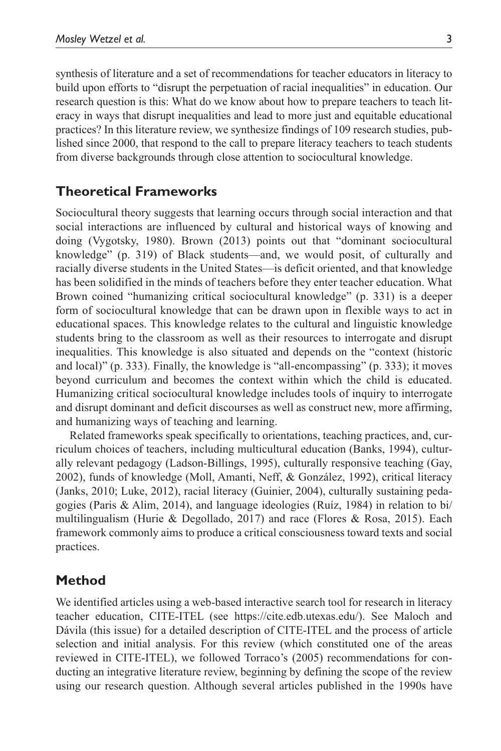synthesis of literature and a set of recommendations for teacher educators in literacy to build upon efforts to "disrupt the perpetuation of racial inequalities" in education. Our research question is this: What do we know about how to prepare teachers to teach literacy in ways that disrupt inequalities and lead to more just and equitable educational practices? In this literature review, we synthesize findings of 109 research studies, published since 2000, that respond to the call to prepare literacy teachers to teach students from diverse backgrounds through close attention to sociocultural knowledge.

## **Theoretical Frameworks**

Sociocultural theory suggests that learning occurs through social interaction and that social interactions are influenced by cultural and historical ways of knowing and doing (Vygotsky, 1980). Brown (2013) points out that "dominant sociocultural knowledge" (p. 319) of Black students—and, we would posit, of culturally and racially diverse students in the United States—is deficit oriented, and that knowledge has been solidified in the minds of teachers before they enter teacher education. What Brown coined "humanizing critical sociocultural knowledge" (p. 331) is a deeper form of sociocultural knowledge that can be drawn upon in flexible ways to act in educational spaces. This knowledge relates to the cultural and linguistic knowledge students bring to the classroom as well as their resources to interrogate and disrupt inequalities. This knowledge is also situated and depends on the "context (historic and local)" (p. 333). Finally, the knowledge is "all-encompassing" (p. 333); it moves beyond curriculum and becomes the context within which the child is educated. Humanizing critical sociocultural knowledge includes tools of inquiry to interrogate and disrupt dominant and deficit discourses as well as construct new, more affirming, and humanizing ways of teaching and learning.

Related frameworks speak specifically to orientations, teaching practices, and, curriculum choices of teachers, including multicultural education (Banks, 1994), culturally relevant pedagogy (Ladson-Billings, 1995), culturally responsive teaching (Gay, 2002), funds of knowledge (Moll, Amanti, Neff, & González, 1992), critical literacy (Janks, 2010; Luke, 2012), racial literacy (Guinier, 2004), culturally sustaining pedagogies (Paris & Alim, 2014), and language ideologies (Ruíz, 1984) in relation to bi/ multilingualism (Hurie & Degollado, 2017) and race (Flores & Rosa, 2015). Each framework commonly aims to produce a critical consciousness toward texts and social practices.

# **Method**

We identified articles using a web-based interactive search tool for research in literacy teacher education, CITE-ITEL (see <https://cite.edb.utexas.edu/>). See Maloch and Dávila (this issue) for a detailed description of CITE-ITEL and the process of article selection and initial analysis. For this review (which constituted one of the areas reviewed in CITE-ITEL), we followed Torraco's (2005) recommendations for conducting an integrative literature review, beginning by defining the scope of the review using our research question. Although several articles published in the 1990s have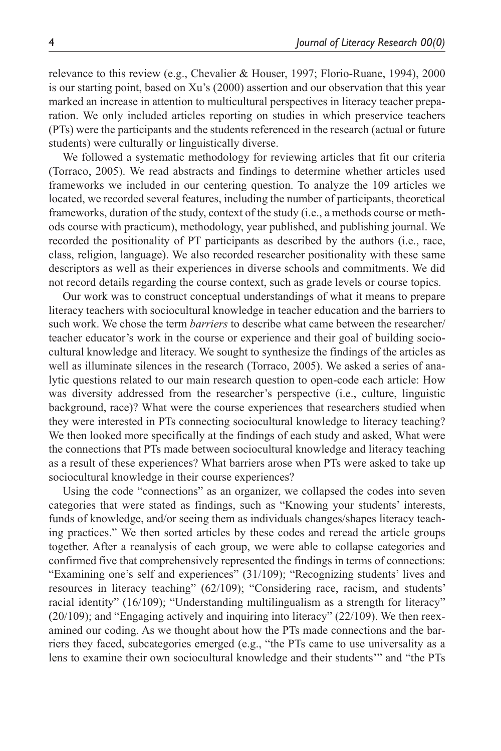relevance to this review (e.g., Chevalier & Houser, 1997; Florio-Ruane, 1994), 2000 is our starting point, based on Xu's (2000) assertion and our observation that this year marked an increase in attention to multicultural perspectives in literacy teacher preparation. We only included articles reporting on studies in which preservice teachers (PTs) were the participants and the students referenced in the research (actual or future students) were culturally or linguistically diverse.

We followed a systematic methodology for reviewing articles that fit our criteria (Torraco, 2005). We read abstracts and findings to determine whether articles used frameworks we included in our centering question. To analyze the 109 articles we located, we recorded several features, including the number of participants, theoretical frameworks, duration of the study, context of the study (i.e., a methods course or methods course with practicum), methodology, year published, and publishing journal. We recorded the positionality of PT participants as described by the authors (i.e., race, class, religion, language). We also recorded researcher positionality with these same descriptors as well as their experiences in diverse schools and commitments. We did not record details regarding the course context, such as grade levels or course topics.

Our work was to construct conceptual understandings of what it means to prepare literacy teachers with sociocultural knowledge in teacher education and the barriers to such work. We chose the term *barriers* to describe what came between the researcher/ teacher educator's work in the course or experience and their goal of building sociocultural knowledge and literacy. We sought to synthesize the findings of the articles as well as illuminate silences in the research (Torraco, 2005). We asked a series of analytic questions related to our main research question to open-code each article: How was diversity addressed from the researcher's perspective (i.e., culture, linguistic background, race)? What were the course experiences that researchers studied when they were interested in PTs connecting sociocultural knowledge to literacy teaching? We then looked more specifically at the findings of each study and asked, What were the connections that PTs made between sociocultural knowledge and literacy teaching as a result of these experiences? What barriers arose when PTs were asked to take up sociocultural knowledge in their course experiences?

Using the code "connections" as an organizer, we collapsed the codes into seven categories that were stated as findings, such as "Knowing your students' interests, funds of knowledge, and/or seeing them as individuals changes/shapes literacy teaching practices." We then sorted articles by these codes and reread the article groups together. After a reanalysis of each group, we were able to collapse categories and confirmed five that comprehensively represented the findings in terms of connections: "Examining one's self and experiences" (31/109); "Recognizing students' lives and resources in literacy teaching" (62/109); "Considering race, racism, and students' racial identity" (16/109); "Understanding multilingualism as a strength for literacy" (20/109); and "Engaging actively and inquiring into literacy" (22/109). We then reexamined our coding. As we thought about how the PTs made connections and the barriers they faced, subcategories emerged (e.g., "the PTs came to use universality as a lens to examine their own sociocultural knowledge and their students'" and "the PTs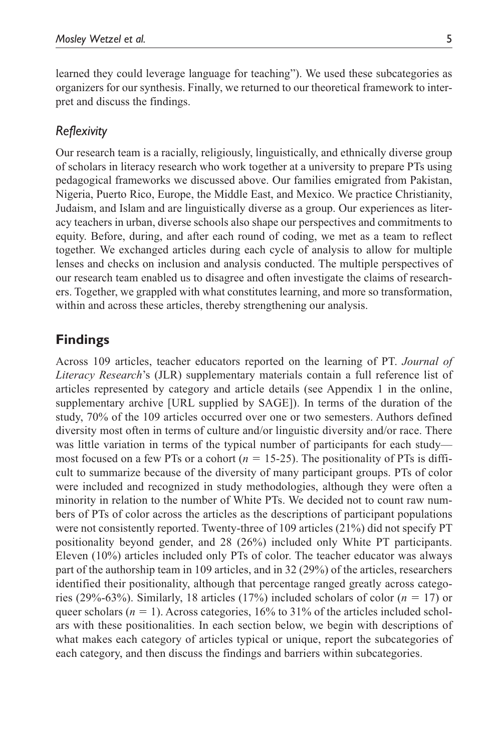learned they could leverage language for teaching"). We used these subcategories as organizers for our synthesis. Finally, we returned to our theoretical framework to interpret and discuss the findings.

## *Reflexivity*

Our research team is a racially, religiously, linguistically, and ethnically diverse group of scholars in literacy research who work together at a university to prepare PTs using pedagogical frameworks we discussed above. Our families emigrated from Pakistan, Nigeria, Puerto Rico, Europe, the Middle East, and Mexico. We practice Christianity, Judaism, and Islam and are linguistically diverse as a group. Our experiences as literacy teachers in urban, diverse schools also shape our perspectives and commitments to equity. Before, during, and after each round of coding, we met as a team to reflect together. We exchanged articles during each cycle of analysis to allow for multiple lenses and checks on inclusion and analysis conducted. The multiple perspectives of our research team enabled us to disagree and often investigate the claims of researchers. Together, we grappled with what constitutes learning, and more so transformation, within and across these articles, thereby strengthening our analysis.

# **Findings**

Across 109 articles, teacher educators reported on the learning of PT. *Journal of Literacy Research*'s (JLR) supplementary materials contain a full reference list of articles represented by category and article details (se[e Appendix 1 in the online](https://journals.sagepub.com/doi/suppl/10.1177/1086296X19833575), supplementary archive [URL supplied by SAGE]). In terms of the duration of the study, 70% of the 109 articles occurred over one or two semesters. Authors defined diversity most often in terms of culture and/or linguistic diversity and/or race. There was little variation in terms of the typical number of participants for each study most focused on a few PTs or a cohort ( $n = 15$ -25). The positionality of PTs is difficult to summarize because of the diversity of many participant groups. PTs of color were included and recognized in study methodologies, although they were often a minority in relation to the number of White PTs. We decided not to count raw numbers of PTs of color across the articles as the descriptions of participant populations were not consistently reported. Twenty-three of 109 articles (21%) did not specify PT positionality beyond gender, and 28 (26%) included only White PT participants. Eleven (10%) articles included only PTs of color. The teacher educator was always part of the authorship team in 109 articles, and in 32 (29%) of the articles, researchers identified their positionality, although that percentage ranged greatly across categories (29%-63%). Similarly, 18 articles (17%) included scholars of color ( $n = 17$ ) or queer scholars ( $n = 1$ ). Across categories, 16% to 31% of the articles included scholars with these positionalities. In each section below, we begin with descriptions of what makes each category of articles typical or unique, report the subcategories of each category, and then discuss the findings and barriers within subcategories.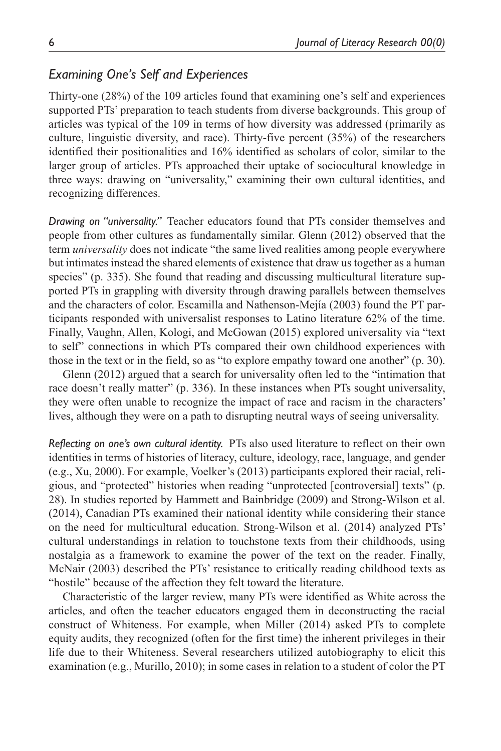## *Examining One's Self and Experiences*

Thirty-one (28%) of the 109 articles found that examining one's self and experiences supported PTs' preparation to teach students from diverse backgrounds. This group of articles was typical of the 109 in terms of how diversity was addressed (primarily as culture, linguistic diversity, and race). Thirty-five percent (35%) of the researchers identified their positionalities and 16% identified as scholars of color, similar to the larger group of articles. PTs approached their uptake of sociocultural knowledge in three ways: drawing on "universality," examining their own cultural identities, and recognizing differences.

*Drawing on "universality."* Teacher educators found that PTs consider themselves and people from other cultures as fundamentally similar. Glenn (2012) observed that the term *universality* does not indicate "the same lived realities among people everywhere but intimates instead the shared elements of existence that draw us together as a human species" (p. 335). She found that reading and discussing multicultural literature supported PTs in grappling with diversity through drawing parallels between themselves and the characters of color. Escamilla and Nathenson-Mejía (2003) found the PT participants responded with universalist responses to Latino literature 62% of the time. Finally, Vaughn, Allen, Kologi, and McGowan (2015) explored universality via "text to self" connections in which PTs compared their own childhood experiences with those in the text or in the field, so as "to explore empathy toward one another" (p. 30).

Glenn (2012) argued that a search for universality often led to the "intimation that race doesn't really matter" (p. 336). In these instances when PTs sought universality, they were often unable to recognize the impact of race and racism in the characters' lives, although they were on a path to disrupting neutral ways of seeing universality.

*Reflecting on one's own cultural identity.* PTs also used literature to reflect on their own identities in terms of histories of literacy, culture, ideology, race, language, and gender (e.g., Xu, 2000). For example, Voelker's (2013) participants explored their racial, religious, and "protected" histories when reading "unprotected [controversial] texts" (p. 28). In studies reported by Hammett and Bainbridge (2009) and Strong-Wilson et al. (2014), Canadian PTs examined their national identity while considering their stance on the need for multicultural education. Strong-Wilson et al. (2014) analyzed PTs' cultural understandings in relation to touchstone texts from their childhoods, using nostalgia as a framework to examine the power of the text on the reader. Finally, McNair (2003) described the PTs' resistance to critically reading childhood texts as "hostile" because of the affection they felt toward the literature.

Characteristic of the larger review, many PTs were identified as White across the articles, and often the teacher educators engaged them in deconstructing the racial construct of Whiteness. For example, when Miller (2014) asked PTs to complete equity audits, they recognized (often for the first time) the inherent privileges in their life due to their Whiteness. Several researchers utilized autobiography to elicit this examination (e.g., Murillo, 2010); in some cases in relation to a student of color the PT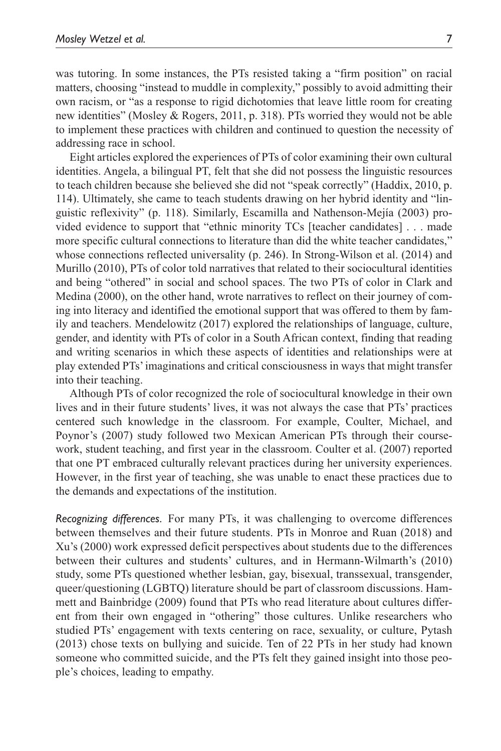was tutoring. In some instances, the PTs resisted taking a "firm position" on racial matters, choosing "instead to muddle in complexity," possibly to avoid admitting their own racism, or "as a response to rigid dichotomies that leave little room for creating new identities" (Mosley & Rogers, 2011, p. 318). PTs worried they would not be able to implement these practices with children and continued to question the necessity of addressing race in school.

Eight articles explored the experiences of PTs of color examining their own cultural identities. Angela, a bilingual PT, felt that she did not possess the linguistic resources to teach children because she believed she did not "speak correctly" (Haddix, 2010, p. 114). Ultimately, she came to teach students drawing on her hybrid identity and "linguistic reflexivity" (p. 118). Similarly, Escamilla and Nathenson-Mejía (2003) provided evidence to support that "ethnic minority TCs [teacher candidates] . . . made more specific cultural connections to literature than did the white teacher candidates," whose connections reflected universality (p. 246). In Strong-Wilson et al. (2014) and Murillo (2010), PTs of color told narratives that related to their sociocultural identities and being "othered" in social and school spaces. The two PTs of color in Clark and Medina (2000), on the other hand, wrote narratives to reflect on their journey of coming into literacy and identified the emotional support that was offered to them by family and teachers. Mendelowitz (2017) explored the relationships of language, culture, gender, and identity with PTs of color in a South African context, finding that reading and writing scenarios in which these aspects of identities and relationships were at play extended PTs' imaginations and critical consciousness in ways that might transfer into their teaching.

Although PTs of color recognized the role of sociocultural knowledge in their own lives and in their future students' lives, it was not always the case that PTs' practices centered such knowledge in the classroom. For example, Coulter, Michael, and Poynor's (2007) study followed two Mexican American PTs through their coursework, student teaching, and first year in the classroom. Coulter et al. (2007) reported that one PT embraced culturally relevant practices during her university experiences. However, in the first year of teaching, she was unable to enact these practices due to the demands and expectations of the institution.

*Recognizing differences.* For many PTs, it was challenging to overcome differences between themselves and their future students. PTs in Monroe and Ruan (2018) and Xu's (2000) work expressed deficit perspectives about students due to the differences between their cultures and students' cultures, and in Hermann-Wilmarth's (2010) study, some PTs questioned whether lesbian, gay, bisexual, transsexual, transgender, queer/questioning (LGBTQ) literature should be part of classroom discussions. Hammett and Bainbridge (2009) found that PTs who read literature about cultures different from their own engaged in "othering" those cultures. Unlike researchers who studied PTs' engagement with texts centering on race, sexuality, or culture, Pytash (2013) chose texts on bullying and suicide. Ten of 22 PTs in her study had known someone who committed suicide, and the PTs felt they gained insight into those people's choices, leading to empathy.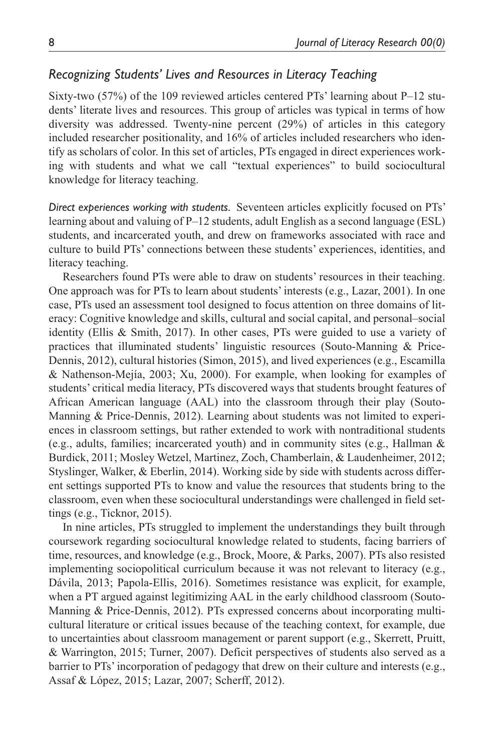#### *Recognizing Students' Lives and Resources in Literacy Teaching*

Sixty-two (57%) of the 109 reviewed articles centered PTs' learning about P–12 students' literate lives and resources. This group of articles was typical in terms of how diversity was addressed. Twenty-nine percent (29%) of articles in this category included researcher positionality, and 16% of articles included researchers who identify as scholars of color. In this set of articles, PTs engaged in direct experiences working with students and what we call "textual experiences" to build sociocultural knowledge for literacy teaching.

*Direct experiences working with students.* Seventeen articles explicitly focused on PTs' learning about and valuing of P–12 students, adult English as a second language (ESL) students, and incarcerated youth, and drew on frameworks associated with race and culture to build PTs' connections between these students' experiences, identities, and literacy teaching.

Researchers found PTs were able to draw on students' resources in their teaching. One approach was for PTs to learn about students' interests (e.g., Lazar, 2001). In one case, PTs used an assessment tool designed to focus attention on three domains of literacy: Cognitive knowledge and skills, cultural and social capital, and personal–social identity (Ellis & Smith, 2017). In other cases, PTs were guided to use a variety of practices that illuminated students' linguistic resources (Souto-Manning & Price-Dennis, 2012), cultural histories (Simon, 2015), and lived experiences (e.g., Escamilla & Nathenson-Mejía, 2003; Xu, 2000). For example, when looking for examples of students' critical media literacy, PTs discovered ways that students brought features of African American language (AAL) into the classroom through their play (Souto-Manning & Price-Dennis, 2012). Learning about students was not limited to experiences in classroom settings, but rather extended to work with nontraditional students (e.g., adults, families; incarcerated youth) and in community sites (e.g., Hallman & Burdick, 2011; Mosley Wetzel, Martinez, Zoch, Chamberlain, & Laudenheimer, 2012; Styslinger, Walker, & Eberlin, 2014). Working side by side with students across different settings supported PTs to know and value the resources that students bring to the classroom, even when these sociocultural understandings were challenged in field settings (e.g., Ticknor, 2015).

In nine articles, PTs struggled to implement the understandings they built through coursework regarding sociocultural knowledge related to students, facing barriers of time, resources, and knowledge (e.g., Brock, Moore, & Parks, 2007). PTs also resisted implementing sociopolitical curriculum because it was not relevant to literacy (e.g., Dávila, 2013; Papola-Ellis, 2016). Sometimes resistance was explicit, for example, when a PT argued against legitimizing AAL in the early childhood classroom (Souto-Manning & Price-Dennis, 2012). PTs expressed concerns about incorporating multicultural literature or critical issues because of the teaching context, for example, due to uncertainties about classroom management or parent support (e.g., Skerrett, Pruitt, & Warrington, 2015; Turner, 2007). Deficit perspectives of students also served as a barrier to PTs' incorporation of pedagogy that drew on their culture and interests (e.g., Assaf & López, 2015; Lazar, 2007; Scherff, 2012).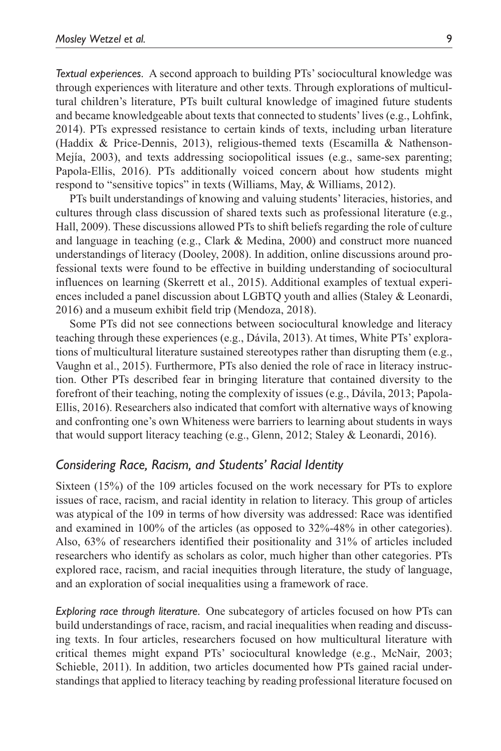*Textual experiences.* A second approach to building PTs' sociocultural knowledge was through experiences with literature and other texts. Through explorations of multicultural children's literature, PTs built cultural knowledge of imagined future students and became knowledgeable about texts that connected to students' lives (e.g., Lohfink, 2014). PTs expressed resistance to certain kinds of texts, including urban literature (Haddix & Price-Dennis, 2013), religious-themed texts (Escamilla & Nathenson-Mejía, 2003), and texts addressing sociopolitical issues (e.g., same-sex parenting; Papola-Ellis, 2016). PTs additionally voiced concern about how students might respond to "sensitive topics" in texts (Williams, May, & Williams, 2012).

PTs built understandings of knowing and valuing students' literacies, histories, and cultures through class discussion of shared texts such as professional literature (e.g., Hall, 2009). These discussions allowed PTs to shift beliefs regarding the role of culture and language in teaching (e.g., Clark & Medina, 2000) and construct more nuanced understandings of literacy (Dooley, 2008). In addition, online discussions around professional texts were found to be effective in building understanding of sociocultural influences on learning (Skerrett et al., 2015). Additional examples of textual experiences included a panel discussion about LGBTQ youth and allies (Staley & Leonardi, 2016) and a museum exhibit field trip (Mendoza, 2018).

Some PTs did not see connections between sociocultural knowledge and literacy teaching through these experiences (e.g., Dávila, 2013). At times, White PTs' explorations of multicultural literature sustained stereotypes rather than disrupting them (e.g., Vaughn et al., 2015). Furthermore, PTs also denied the role of race in literacy instruction. Other PTs described fear in bringing literature that contained diversity to the forefront of their teaching, noting the complexity of issues (e.g., Dávila, 2013; Papola-Ellis, 2016). Researchers also indicated that comfort with alternative ways of knowing and confronting one's own Whiteness were barriers to learning about students in ways that would support literacy teaching (e.g., Glenn, 2012; Staley & Leonardi, 2016).

#### *Considering Race, Racism, and Students' Racial Identity*

Sixteen (15%) of the 109 articles focused on the work necessary for PTs to explore issues of race, racism, and racial identity in relation to literacy. This group of articles was atypical of the 109 in terms of how diversity was addressed: Race was identified and examined in 100% of the articles (as opposed to 32%-48% in other categories). Also, 63% of researchers identified their positionality and 31% of articles included researchers who identify as scholars as color, much higher than other categories. PTs explored race, racism, and racial inequities through literature, the study of language, and an exploration of social inequalities using a framework of race.

*Exploring race through literature.* One subcategory of articles focused on how PTs can build understandings of race, racism, and racial inequalities when reading and discussing texts. In four articles, researchers focused on how multicultural literature with critical themes might expand PTs' sociocultural knowledge (e.g., McNair, 2003; Schieble, 2011). In addition, two articles documented how PTs gained racial understandings that applied to literacy teaching by reading professional literature focused on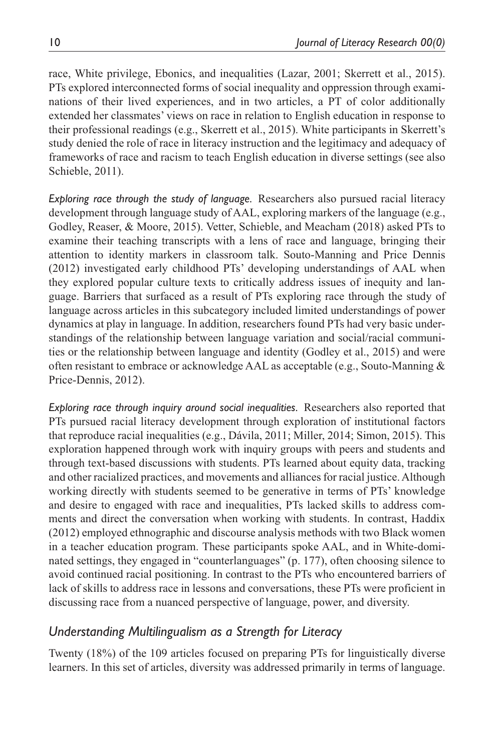race, White privilege, Ebonics, and inequalities (Lazar, 2001; Skerrett et al., 2015). PTs explored interconnected forms of social inequality and oppression through examinations of their lived experiences, and in two articles, a PT of color additionally extended her classmates' views on race in relation to English education in response to their professional readings (e.g., Skerrett et al., 2015). White participants in Skerrett's study denied the role of race in literacy instruction and the legitimacy and adequacy of frameworks of race and racism to teach English education in diverse settings (see also Schieble, 2011).

*Exploring race through the study of language.* Researchers also pursued racial literacy development through language study of AAL, exploring markers of the language (e.g., Godley, Reaser, & Moore, 2015). Vetter, Schieble, and Meacham (2018) asked PTs to examine their teaching transcripts with a lens of race and language, bringing their attention to identity markers in classroom talk. Souto-Manning and Price Dennis (2012) investigated early childhood PTs' developing understandings of AAL when they explored popular culture texts to critically address issues of inequity and language. Barriers that surfaced as a result of PTs exploring race through the study of language across articles in this subcategory included limited understandings of power dynamics at play in language. In addition, researchers found PTs had very basic understandings of the relationship between language variation and social/racial communities or the relationship between language and identity (Godley et al., 2015) and were often resistant to embrace or acknowledge AAL as acceptable (e.g., Souto-Manning & Price-Dennis, 2012).

*Exploring race through inquiry around social inequalities.* Researchers also reported that PTs pursued racial literacy development through exploration of institutional factors that reproduce racial inequalities (e.g., Dávila, 2011; Miller, 2014; Simon, 2015). This exploration happened through work with inquiry groups with peers and students and through text-based discussions with students. PTs learned about equity data, tracking and other racialized practices, and movements and alliances for racial justice. Although working directly with students seemed to be generative in terms of PTs' knowledge and desire to engaged with race and inequalities, PTs lacked skills to address comments and direct the conversation when working with students. In contrast, Haddix (2012) employed ethnographic and discourse analysis methods with two Black women in a teacher education program. These participants spoke AAL, and in White-dominated settings, they engaged in "counterlanguages" (p. 177), often choosing silence to avoid continued racial positioning. In contrast to the PTs who encountered barriers of lack of skills to address race in lessons and conversations, these PTs were proficient in discussing race from a nuanced perspective of language, power, and diversity.

## *Understanding Multilingualism as a Strength for Literacy*

Twenty (18%) of the 109 articles focused on preparing PTs for linguistically diverse learners. In this set of articles, diversity was addressed primarily in terms of language.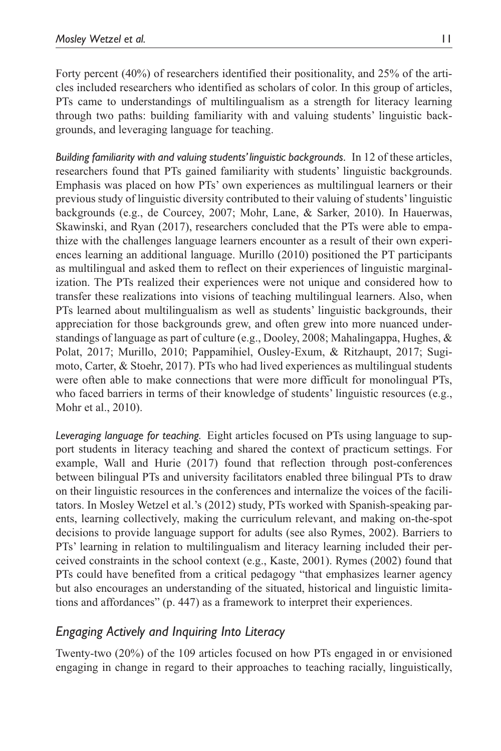Forty percent (40%) of researchers identified their positionality, and 25% of the articles included researchers who identified as scholars of color. In this group of articles, PTs came to understandings of multilingualism as a strength for literacy learning through two paths: building familiarity with and valuing students' linguistic backgrounds, and leveraging language for teaching.

*Building familiarity with and valuing students' linguistic backgrounds.* In 12 of these articles, researchers found that PTs gained familiarity with students' linguistic backgrounds. Emphasis was placed on how PTs' own experiences as multilingual learners or their previous study of linguistic diversity contributed to their valuing of students' linguistic backgrounds (e.g., de Courcey, 2007; Mohr, Lane, & Sarker, 2010). In Hauerwas, Skawinski, and Ryan (2017), researchers concluded that the PTs were able to empathize with the challenges language learners encounter as a result of their own experiences learning an additional language. Murillo (2010) positioned the PT participants as multilingual and asked them to reflect on their experiences of linguistic marginalization. The PTs realized their experiences were not unique and considered how to transfer these realizations into visions of teaching multilingual learners. Also, when PTs learned about multilingualism as well as students' linguistic backgrounds, their appreciation for those backgrounds grew, and often grew into more nuanced understandings of language as part of culture (e.g., Dooley, 2008; Mahalingappa, Hughes, & Polat, 2017; Murillo, 2010; Pappamihiel, Ousley-Exum, & Ritzhaupt, 2017; Sugimoto, Carter, & Stoehr, 2017). PTs who had lived experiences as multilingual students were often able to make connections that were more difficult for monolingual PTs, who faced barriers in terms of their knowledge of students' linguistic resources (e.g., Mohr et al., 2010).

*Leveraging language for teaching.* Eight articles focused on PTs using language to support students in literacy teaching and shared the context of practicum settings. For example, Wall and Hurie (2017) found that reflection through post-conferences between bilingual PTs and university facilitators enabled three bilingual PTs to draw on their linguistic resources in the conferences and internalize the voices of the facilitators. In Mosley Wetzel et al.'s (2012) study, PTs worked with Spanish-speaking parents, learning collectively, making the curriculum relevant, and making on-the-spot decisions to provide language support for adults (see also Rymes, 2002). Barriers to PTs' learning in relation to multilingualism and literacy learning included their perceived constraints in the school context (e.g., Kaste, 2001). Rymes (2002) found that PTs could have benefited from a critical pedagogy "that emphasizes learner agency but also encourages an understanding of the situated, historical and linguistic limitations and affordances" (p. 447) as a framework to interpret their experiences.

# *Engaging Actively and Inquiring Into Literacy*

Twenty-two (20%) of the 109 articles focused on how PTs engaged in or envisioned engaging in change in regard to their approaches to teaching racially, linguistically,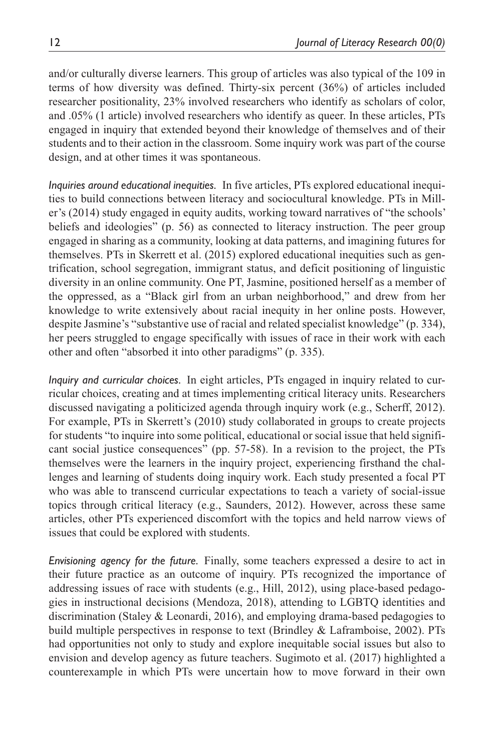and/or culturally diverse learners. This group of articles was also typical of the 109 in terms of how diversity was defined. Thirty-six percent (36%) of articles included researcher positionality, 23% involved researchers who identify as scholars of color, and .05% (1 article) involved researchers who identify as queer. In these articles, PTs engaged in inquiry that extended beyond their knowledge of themselves and of their students and to their action in the classroom. Some inquiry work was part of the course design, and at other times it was spontaneous.

*Inquiries around educational inequities.* In five articles, PTs explored educational inequities to build connections between literacy and sociocultural knowledge. PTs in Miller's (2014) study engaged in equity audits, working toward narratives of "the schools' beliefs and ideologies" (p. 56) as connected to literacy instruction. The peer group engaged in sharing as a community, looking at data patterns, and imagining futures for themselves. PTs in Skerrett et al. (2015) explored educational inequities such as gentrification, school segregation, immigrant status, and deficit positioning of linguistic diversity in an online community. One PT, Jasmine, positioned herself as a member of the oppressed, as a "Black girl from an urban neighborhood," and drew from her knowledge to write extensively about racial inequity in her online posts. However, despite Jasmine's "substantive use of racial and related specialist knowledge" (p. 334), her peers struggled to engage specifically with issues of race in their work with each other and often "absorbed it into other paradigms" (p. 335).

*Inquiry and curricular choices.* In eight articles, PTs engaged in inquiry related to curricular choices, creating and at times implementing critical literacy units. Researchers discussed navigating a politicized agenda through inquiry work (e.g., Scherff, 2012). For example, PTs in Skerrett's (2010) study collaborated in groups to create projects for students "to inquire into some political, educational or social issue that held significant social justice consequences" (pp. 57-58). In a revision to the project, the PTs themselves were the learners in the inquiry project, experiencing firsthand the challenges and learning of students doing inquiry work. Each study presented a focal PT who was able to transcend curricular expectations to teach a variety of social-issue topics through critical literacy (e.g., Saunders, 2012). However, across these same articles, other PTs experienced discomfort with the topics and held narrow views of issues that could be explored with students.

*Envisioning agency for the future.* Finally, some teachers expressed a desire to act in their future practice as an outcome of inquiry. PTs recognized the importance of addressing issues of race with students (e.g., Hill, 2012), using place-based pedagogies in instructional decisions (Mendoza, 2018), attending to LGBTQ identities and discrimination (Staley & Leonardi, 2016), and employing drama-based pedagogies to build multiple perspectives in response to text (Brindley & Laframboise, 2002). PTs had opportunities not only to study and explore inequitable social issues but also to envision and develop agency as future teachers. Sugimoto et al. (2017) highlighted a counterexample in which PTs were uncertain how to move forward in their own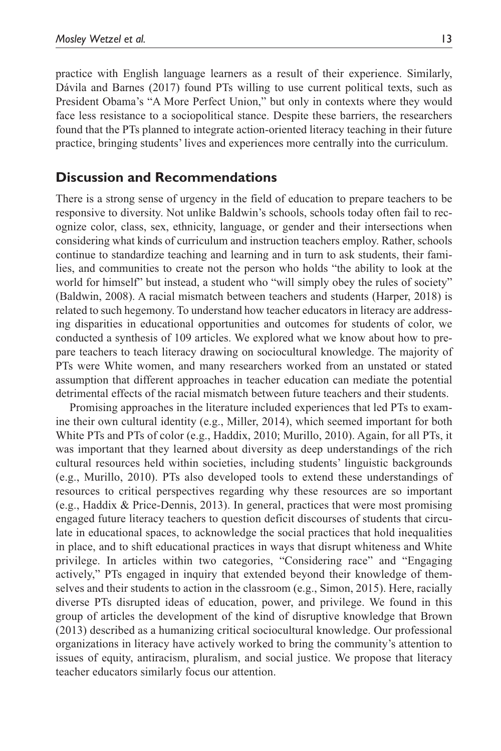practice with English language learners as a result of their experience. Similarly, Dávila and Barnes (2017) found PTs willing to use current political texts, such as President Obama's "A More Perfect Union," but only in contexts where they would face less resistance to a sociopolitical stance. Despite these barriers, the researchers found that the PTs planned to integrate action-oriented literacy teaching in their future practice, bringing students' lives and experiences more centrally into the curriculum.

#### **Discussion and Recommendations**

There is a strong sense of urgency in the field of education to prepare teachers to be responsive to diversity. Not unlike Baldwin's schools, schools today often fail to recognize color, class, sex, ethnicity, language, or gender and their intersections when considering what kinds of curriculum and instruction teachers employ. Rather, schools continue to standardize teaching and learning and in turn to ask students, their families, and communities to create not the person who holds "the ability to look at the world for himself" but instead, a student who "will simply obey the rules of society" (Baldwin, 2008). A racial mismatch between teachers and students (Harper, 2018) is related to such hegemony. To understand how teacher educators in literacy are addressing disparities in educational opportunities and outcomes for students of color, we conducted a synthesis of 109 articles. We explored what we know about how to prepare teachers to teach literacy drawing on sociocultural knowledge. The majority of PTs were White women, and many researchers worked from an unstated or stated assumption that different approaches in teacher education can mediate the potential detrimental effects of the racial mismatch between future teachers and their students.

Promising approaches in the literature included experiences that led PTs to examine their own cultural identity (e.g., Miller, 2014), which seemed important for both White PTs and PTs of color (e.g., Haddix, 2010; Murillo, 2010). Again, for all PTs, it was important that they learned about diversity as deep understandings of the rich cultural resources held within societies, including students' linguistic backgrounds (e.g., Murillo, 2010). PTs also developed tools to extend these understandings of resources to critical perspectives regarding why these resources are so important (e.g., Haddix & Price-Dennis, 2013). In general, practices that were most promising engaged future literacy teachers to question deficit discourses of students that circulate in educational spaces, to acknowledge the social practices that hold inequalities in place, and to shift educational practices in ways that disrupt whiteness and White privilege. In articles within two categories, "Considering race" and "Engaging actively," PTs engaged in inquiry that extended beyond their knowledge of themselves and their students to action in the classroom (e.g., Simon, 2015). Here, racially diverse PTs disrupted ideas of education, power, and privilege. We found in this group of articles the development of the kind of disruptive knowledge that Brown (2013) described as a humanizing critical sociocultural knowledge. Our professional organizations in literacy have actively worked to bring the community's attention to issues of equity, antiracism, pluralism, and social justice. We propose that literacy teacher educators similarly focus our attention.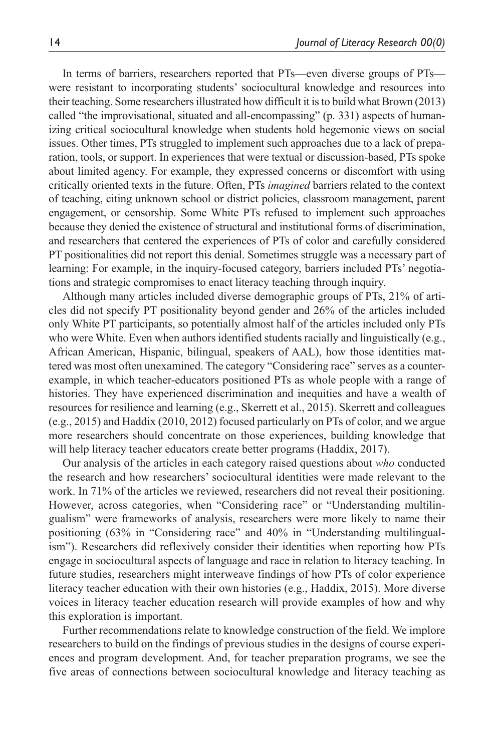In terms of barriers, researchers reported that PTs—even diverse groups of PTs were resistant to incorporating students' sociocultural knowledge and resources into their teaching. Some researchers illustrated how difficult it is to build what Brown (2013) called "the improvisational, situated and all-encompassing" (p. 331) aspects of humanizing critical sociocultural knowledge when students hold hegemonic views on social issues. Other times, PTs struggled to implement such approaches due to a lack of preparation, tools, or support. In experiences that were textual or discussion-based, PTs spoke about limited agency. For example, they expressed concerns or discomfort with using critically oriented texts in the future. Often, PTs *imagined* barriers related to the context of teaching, citing unknown school or district policies, classroom management, parent engagement, or censorship. Some White PTs refused to implement such approaches because they denied the existence of structural and institutional forms of discrimination, and researchers that centered the experiences of PTs of color and carefully considered PT positionalities did not report this denial. Sometimes struggle was a necessary part of learning: For example, in the inquiry-focused category, barriers included PTs' negotiations and strategic compromises to enact literacy teaching through inquiry.

Although many articles included diverse demographic groups of PTs, 21% of articles did not specify PT positionality beyond gender and 26% of the articles included only White PT participants, so potentially almost half of the articles included only PTs who were White. Even when authors identified students racially and linguistically (e.g., African American, Hispanic, bilingual, speakers of AAL), how those identities mattered was most often unexamined. The category "Considering race" serves as a counterexample, in which teacher-educators positioned PTs as whole people with a range of histories. They have experienced discrimination and inequities and have a wealth of resources for resilience and learning (e.g., Skerrett et al., 2015). Skerrett and colleagues (e.g., 2015) and Haddix (2010, 2012) focused particularly on PTs of color, and we argue more researchers should concentrate on those experiences, building knowledge that will help literacy teacher educators create better programs (Haddix, 2017).

Our analysis of the articles in each category raised questions about *who* conducted the research and how researchers' sociocultural identities were made relevant to the work. In 71% of the articles we reviewed, researchers did not reveal their positioning. However, across categories, when "Considering race" or "Understanding multilingualism" were frameworks of analysis, researchers were more likely to name their positioning (63% in "Considering race" and 40% in "Understanding multilingualism"). Researchers did reflexively consider their identities when reporting how PTs engage in sociocultural aspects of language and race in relation to literacy teaching. In future studies, researchers might interweave findings of how PTs of color experience literacy teacher education with their own histories (e.g., Haddix, 2015). More diverse voices in literacy teacher education research will provide examples of how and why this exploration is important.

Further recommendations relate to knowledge construction of the field. We implore researchers to build on the findings of previous studies in the designs of course experiences and program development. And, for teacher preparation programs, we see the five areas of connections between sociocultural knowledge and literacy teaching as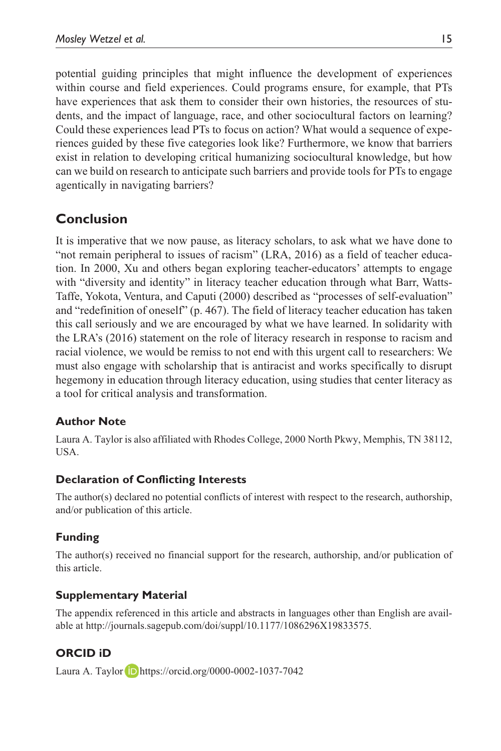potential guiding principles that might influence the development of experiences within course and field experiences. Could programs ensure, for example, that PTs have experiences that ask them to consider their own histories, the resources of students, and the impact of language, race, and other sociocultural factors on learning? Could these experiences lead PTs to focus on action? What would a sequence of experiences guided by these five categories look like? Furthermore, we know that barriers exist in relation to developing critical humanizing sociocultural knowledge, but how can we build on research to anticipate such barriers and provide tools for PTs to engage agentically in navigating barriers?

# **Conclusion**

It is imperative that we now pause, as literacy scholars, to ask what we have done to "not remain peripheral to issues of racism" (LRA, 2016) as a field of teacher education. In 2000, Xu and others began exploring teacher-educators' attempts to engage with "diversity and identity" in literacy teacher education through what Barr, Watts-Taffe, Yokota, Ventura, and Caputi (2000) described as "processes of self-evaluation" and "redefinition of oneself" (p. 467). The field of literacy teacher education has taken this call seriously and we are encouraged by what we have learned. In solidarity with the LRA's (2016) statement on the role of literacy research in response to racism and racial violence, we would be remiss to not end with this urgent call to researchers: We must also engage with scholarship that is antiracist and works specifically to disrupt hegemony in education through literacy education, using studies that center literacy as a tool for critical analysis and transformation.

## **Author Note**

Laura A. Taylor is also affiliated with Rhodes College, 2000 North Pkwy, Memphis, TN 38112, USA.

#### **Declaration of Conflicting Interests**

The author(s) declared no potential conflicts of interest with respect to the research, authorship, and/or publication of this article.

## **Funding**

The author(s) received no financial support for the research, authorship, and/or publication of this article.

## **Supplementary Material**

The appendix referenced in this article and abstracts in languages other than English are available at <http://journals.sagepub.com/doi/suppl/10.1177/1086296X19833575>.

# **ORCID iD**

Laura A. Taylor <https://orcid.org/0000-0002-1037-7042>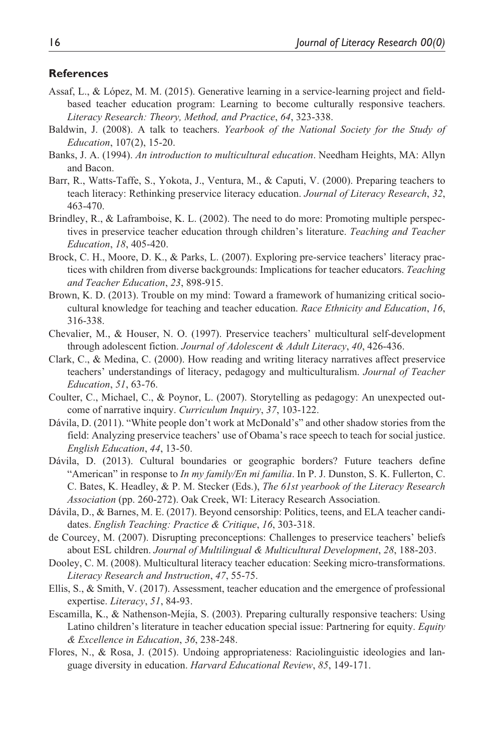#### **References**

- Assaf, L., & López, M. M. (2015). Generative learning in a service-learning project and fieldbased teacher education program: Learning to become culturally responsive teachers. *Literacy Research: Theory, Method, and Practice*, *64*, 323-338.
- Baldwin, J. (2008). A talk to teachers. *Yearbook of the National Society for the Study of Education*, 107(2), 15-20.
- Banks, J. A. (1994). *An introduction to multicultural education*. Needham Heights, MA: Allyn and Bacon.
- Barr, R., Watts-Taffe, S., Yokota, J., Ventura, M., & Caputi, V. (2000). Preparing teachers to teach literacy: Rethinking preservice literacy education. *Journal of Literacy Research*, *32*, 463-470.
- Brindley, R., & Laframboise, K. L. (2002). The need to do more: Promoting multiple perspectives in preservice teacher education through children's literature. *Teaching and Teacher Education*, *18*, 405-420.
- Brock, C. H., Moore, D. K., & Parks, L. (2007). Exploring pre-service teachers' literacy practices with children from diverse backgrounds: Implications for teacher educators. *Teaching and Teacher Education*, *23*, 898-915.
- Brown, K. D. (2013). Trouble on my mind: Toward a framework of humanizing critical sociocultural knowledge for teaching and teacher education. *Race Ethnicity and Education*, *16*, 316-338.
- Chevalier, M., & Houser, N. O. (1997). Preservice teachers' multicultural self-development through adolescent fiction. *Journal of Adolescent & Adult Literacy*, *40*, 426-436.
- Clark, C., & Medina, C. (2000). How reading and writing literacy narratives affect preservice teachers' understandings of literacy, pedagogy and multiculturalism. *Journal of Teacher Education*, *51*, 63-76.
- Coulter, C., Michael, C., & Poynor, L. (2007). Storytelling as pedagogy: An unexpected outcome of narrative inquiry. *Curriculum Inquiry*, *37*, 103-122.
- Dávila, D. (2011). "White people don't work at McDonald's" and other shadow stories from the field: Analyzing preservice teachers' use of Obama's race speech to teach for social justice. *English Education*, *44*, 13-50.
- Dávila, D. (2013). Cultural boundaries or geographic borders? Future teachers define "American" in response to *In my family/En mi familia*. In P. J. Dunston, S. K. Fullerton, C. C. Bates, K. Headley, & P. M. Stecker (Eds.), *The 61st yearbook of the Literacy Research Association* (pp. 260-272). Oak Creek, WI: Literacy Research Association.
- Dávila, D., & Barnes, M. E. (2017). Beyond censorship: Politics, teens, and ELA teacher candidates. *English Teaching: Practice & Critique*, *16*, 303-318.
- de Courcey, M. (2007). Disrupting preconceptions: Challenges to preservice teachers' beliefs about ESL children. *Journal of Multilingual & Multicultural Development*, *28*, 188-203.
- Dooley, C. M. (2008). Multicultural literacy teacher education: Seeking micro-transformations. *Literacy Research and Instruction*, *47*, 55-75.
- Ellis, S., & Smith, V. (2017). Assessment, teacher education and the emergence of professional expertise. *Literacy*, *51*, 84-93.
- Escamilla, K., & Nathenson-Mejía, S. (2003). Preparing culturally responsive teachers: Using Latino children's literature in teacher education special issue: Partnering for equity. *Equity & Excellence in Education*, *36*, 238-248.
- Flores, N., & Rosa, J. (2015). Undoing appropriateness: Raciolinguistic ideologies and language diversity in education. *Harvard Educational Review*, *85*, 149-171.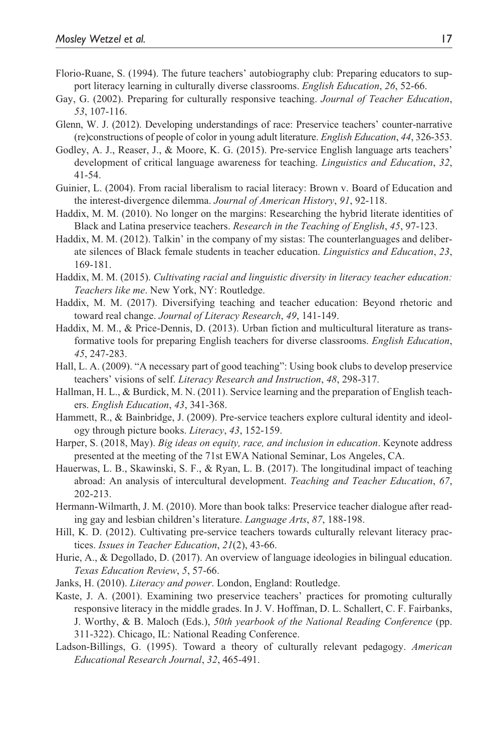- Florio-Ruane, S. (1994). The future teachers' autobiography club: Preparing educators to support literacy learning in culturally diverse classrooms. *English Education*, *26*, 52-66.
- Gay, G. (2002). Preparing for culturally responsive teaching. *Journal of Teacher Education*, *53*, 107-116.
- Glenn, W. J. (2012). Developing understandings of race: Preservice teachers' counter-narrative (re)constructions of people of color in young adult literature. *English Education*, *44*, 326-353.
- Godley, A. J., Reaser, J., & Moore, K. G. (2015). Pre-service English language arts teachers' development of critical language awareness for teaching. *Linguistics and Education*, *32*, 41-54.
- Guinier, L. (2004). From racial liberalism to racial literacy: Brown v. Board of Education and the interest-divergence dilemma. *Journal of American History*, *91*, 92-118.
- Haddix, M. M. (2010). No longer on the margins: Researching the hybrid literate identities of Black and Latina preservice teachers. *Research in the Teaching of English*, *45*, 97-123.
- Haddix, M. M. (2012). Talkin' in the company of my sistas: The counterlanguages and deliberate silences of Black female students in teacher education. *Linguistics and Education*, *23*, 169-181.
- Haddix, M. M. (2015). *Cultivating racial and linguistic diversity in literacy teacher education: Teachers like me*. New York, NY: Routledge.
- Haddix, M. M. (2017). Diversifying teaching and teacher education: Beyond rhetoric and toward real change. *Journal of Literacy Research*, *49*, 141-149.
- Haddix, M. M., & Price-Dennis, D. (2013). Urban fiction and multicultural literature as transformative tools for preparing English teachers for diverse classrooms. *English Education*, *45*, 247-283.
- Hall, L. A. (2009). "A necessary part of good teaching": Using book clubs to develop preservice teachers' visions of self. *Literacy Research and Instruction*, *48*, 298-317.
- Hallman, H. L., & Burdick, M. N. (2011). Service learning and the preparation of English teachers. *English Education*, *43*, 341-368.
- Hammett, R., & Bainbridge, J. (2009). Pre-service teachers explore cultural identity and ideology through picture books. *Literacy*, *43*, 152-159.
- Harper, S. (2018, May). *Big ideas on equity, race, and inclusion in education*. Keynote address presented at the meeting of the 71st EWA National Seminar, Los Angeles, CA.
- Hauerwas, L. B., Skawinski, S. F., & Ryan, L. B. (2017). The longitudinal impact of teaching abroad: An analysis of intercultural development. *Teaching and Teacher Education*, *67*, 202-213.
- Hermann-Wilmarth, J. M. (2010). More than book talks: Preservice teacher dialogue after reading gay and lesbian children's literature. *Language Arts*, *87*, 188-198.
- Hill, K. D. (2012). Cultivating pre-service teachers towards culturally relevant literacy practices. *Issues in Teacher Education*, *21*(2), 43-66.
- Hurie, A., & Degollado, D. (2017). An overview of language ideologies in bilingual education. *Texas Education Review*, *5*, 57-66.
- Janks, H. (2010). *Literacy and power*. London, England: Routledge.
- Kaste, J. A. (2001). Examining two preservice teachers' practices for promoting culturally responsive literacy in the middle grades. In J. V. Hoffman, D. L. Schallert, C. F. Fairbanks, J. Worthy, & B. Maloch (Eds.), *50th yearbook of the National Reading Conference* (pp. 311-322). Chicago, IL: National Reading Conference.
- Ladson-Billings, G. (1995). Toward a theory of culturally relevant pedagogy. *American Educational Research Journal*, *32*, 465-491.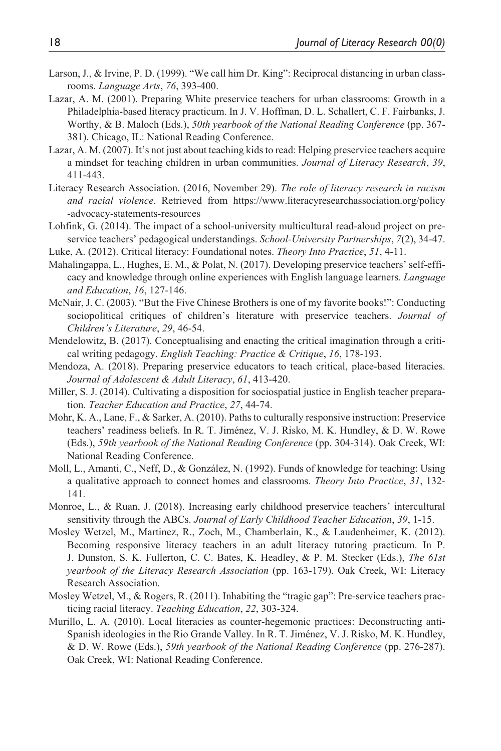- Larson, J., & Irvine, P. D. (1999). "We call him Dr. King": Reciprocal distancing in urban classrooms. *Language Arts*, *76*, 393-400.
- Lazar, A. M. (2001). Preparing White preservice teachers for urban classrooms: Growth in a Philadelphia-based literacy practicum. In J. V. Hoffman, D. L. Schallert, C. F. Fairbanks, J. Worthy, & B. Maloch (Eds.), *50th yearbook of the National Reading Conference* (pp. 367- 381). Chicago, IL: National Reading Conference.
- Lazar, A. M. (2007). It's not just about teaching kids to read: Helping preservice teachers acquire a mindset for teaching children in urban communities. *Journal of Literacy Research*, *39*, 411-443.
- Literacy Research Association. (2016, November 29). *The role of literacy research in racism and racial violence*. Retrieved from [https://www.literacyresearchassociation.org/policy](https://www.literacyresearchassociation.org/policy-advocacy-statements-resources) [-advocacy-statements-resources](https://www.literacyresearchassociation.org/policy-advocacy-statements-resources)
- Lohfink, G. (2014). The impact of a school-university multicultural read-aloud project on preservice teachers' pedagogical understandings. *School-University Partnerships*, *7*(2), 34-47.
- Luke, A. (2012). Critical literacy: Foundational notes. *Theory Into Practice*, *51*, 4-11.
- Mahalingappa, L., Hughes, E. M., & Polat, N. (2017). Developing preservice teachers' self-efficacy and knowledge through online experiences with English language learners. *Language and Education*, *16*, 127-146.
- McNair, J. C. (2003). "But the Five Chinese Brothers is one of my favorite books!": Conducting sociopolitical critiques of children's literature with preservice teachers. *Journal of Children's Literature*, *29*, 46-54.
- Mendelowitz, B. (2017). Conceptualising and enacting the critical imagination through a critical writing pedagogy. *English Teaching: Practice & Critique*, *16*, 178-193.
- Mendoza, A. (2018). Preparing preservice educators to teach critical, place-based literacies. *Journal of Adolescent & Adult Literacy*, *61*, 413-420.
- Miller, S. J. (2014). Cultivating a disposition for sociospatial justice in English teacher preparation. *Teacher Education and Practice*, *27*, 44-74.
- Mohr, K. A., Lane, F., & Sarker, A. (2010). Paths to culturally responsive instruction: Preservice teachers' readiness beliefs. In R. T. Jiménez, V. J. Risko, M. K. Hundley, & D. W. Rowe (Eds.), *59th yearbook of the National Reading Conference* (pp. 304-314). Oak Creek, WI: National Reading Conference.
- Moll, L., Amanti, C., Neff, D., & González, N. (1992). Funds of knowledge for teaching: Using a qualitative approach to connect homes and classrooms. *Theory Into Practice*, *31*, 132- 141.
- Monroe, L., & Ruan, J. (2018). Increasing early childhood preservice teachers' intercultural sensitivity through the ABCs. *Journal of Early Childhood Teacher Education*, *39*, 1-15.
- Mosley Wetzel, M., Martinez, R., Zoch, M., Chamberlain, K., & Laudenheimer, K. (2012). Becoming responsive literacy teachers in an adult literacy tutoring practicum. In P. J. Dunston, S. K. Fullerton, C. C. Bates, K. Headley, & P. M. Stecker (Eds.), *The 61st yearbook of the Literacy Research Association* (pp. 163-179). Oak Creek, WI: Literacy Research Association.
- Mosley Wetzel, M., & Rogers, R. (2011). Inhabiting the "tragic gap": Pre-service teachers practicing racial literacy. *Teaching Education*, *22*, 303-324.
- Murillo, L. A. (2010). Local literacies as counter-hegemonic practices: Deconstructing anti-Spanish ideologies in the Rio Grande Valley. In R. T. Jiménez, V. J. Risko, M. K. Hundley, & D. W. Rowe (Eds.), *59th yearbook of the National Reading Conference* (pp. 276-287). Oak Creek, WI: National Reading Conference.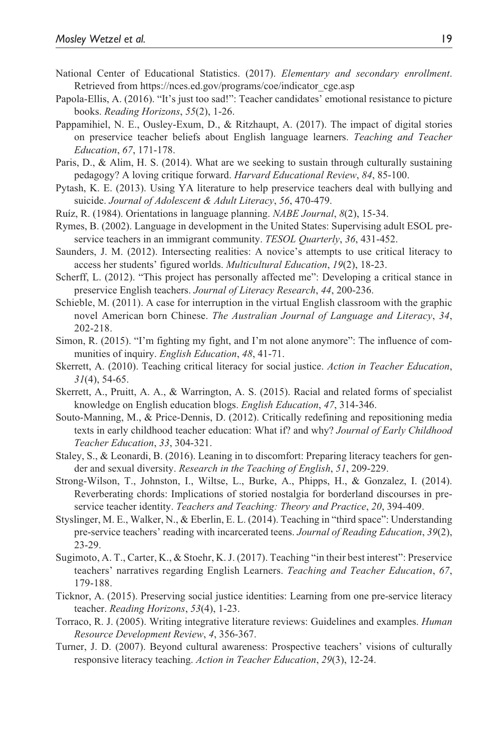- National Center of Educational Statistics. (2017). *Elementary and secondary enrollment*. Retrieved from [https://nces.ed.gov/programs/coe/indicator\\_cge.asp](https://nces.ed.gov/programs/coe/indicator_cge.asp)
- Papola-Ellis, A. (2016). "It's just too sad!": Teacher candidates' emotional resistance to picture books. *Reading Horizons*, *55*(2), 1-26.
- Pappamihiel, N. E., Ousley-Exum, D., & Ritzhaupt, A. (2017). The impact of digital stories on preservice teacher beliefs about English language learners. *Teaching and Teacher Education*, *67*, 171-178.
- Paris, D., & Alim, H. S. (2014). What are we seeking to sustain through culturally sustaining pedagogy? A loving critique forward. *Harvard Educational Review*, *84*, 85-100.
- Pytash, K. E. (2013). Using YA literature to help preservice teachers deal with bullying and suicide. *Journal of Adolescent & Adult Literacy*, *56*, 470-479.
- Ruíz, R. (1984). Orientations in language planning. *NABE Journal*, *8*(2), 15-34.
- Rymes, B. (2002). Language in development in the United States: Supervising adult ESOL preservice teachers in an immigrant community. *TESOL Quarterly*, *36*, 431-452.
- Saunders, J. M. (2012). Intersecting realities: A novice's attempts to use critical literacy to access her students' figured worlds. *Multicultural Education*, *19*(2), 18-23.
- Scherff, L. (2012). "This project has personally affected me": Developing a critical stance in preservice English teachers. *Journal of Literacy Research*, *44*, 200-236.
- Schieble, M. (2011). A case for interruption in the virtual English classroom with the graphic novel American born Chinese. *The Australian Journal of Language and Literacy*, *34*, 202-218.
- Simon, R. (2015). "I'm fighting my fight, and I'm not alone anymore": The influence of communities of inquiry. *English Education*, *48*, 41-71.
- Skerrett, A. (2010). Teaching critical literacy for social justice. *Action in Teacher Education*, *31*(4), 54-65.
- Skerrett, A., Pruitt, A. A., & Warrington, A. S. (2015). Racial and related forms of specialist knowledge on English education blogs. *English Education*, *47*, 314-346.
- Souto-Manning, M., & Price-Dennis, D. (2012). Critically redefining and repositioning media texts in early childhood teacher education: What if? and why? *Journal of Early Childhood Teacher Education*, *33*, 304-321.
- Staley, S., & Leonardi, B. (2016). Leaning in to discomfort: Preparing literacy teachers for gender and sexual diversity. *Research in the Teaching of English*, *51*, 209-229.
- Strong-Wilson, T., Johnston, I., Wiltse, L., Burke, A., Phipps, H., & Gonzalez, I. (2014). Reverberating chords: Implications of storied nostalgia for borderland discourses in preservice teacher identity. *Teachers and Teaching: Theory and Practice*, *20*, 394-409.
- Styslinger, M. E., Walker, N., & Eberlin, E. L. (2014). Teaching in "third space": Understanding pre-service teachers' reading with incarcerated teens. *Journal of Reading Education*, *39*(2), 23-29.
- Sugimoto, A. T., Carter, K., & Stoehr, K. J. (2017). Teaching "in their best interest": Preservice teachers' narratives regarding English Learners. *Teaching and Teacher Education*, *67*, 179-188.
- Ticknor, A. (2015). Preserving social justice identities: Learning from one pre-service literacy teacher. *Reading Horizons*, *53*(4), 1-23.
- Torraco, R. J. (2005). Writing integrative literature reviews: Guidelines and examples. *Human Resource Development Review*, *4*, 356-367.
- Turner, J. D. (2007). Beyond cultural awareness: Prospective teachers' visions of culturally responsive literacy teaching. *Action in Teacher Education*, *29*(3), 12-24.